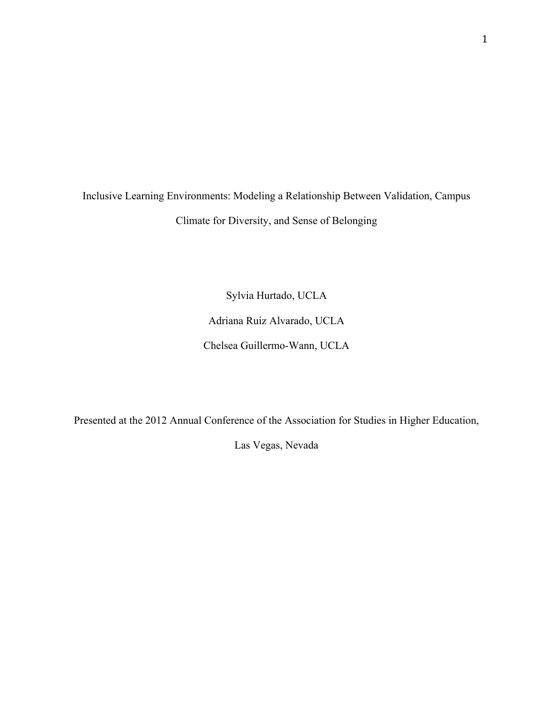Inclusive Learning Environments: Modeling a Relationship Between Validation, Campus Climate for Diversity, and Sense of Belonging

> Sylvia Hurtado, UCLA Adriana Ruiz Alvarado, UCLA Chelsea Guillermo-Wann, UCLA

Presented at the 2012 Annual Conference of the Association for Studies in Higher Education,

Las Vegas, Nevada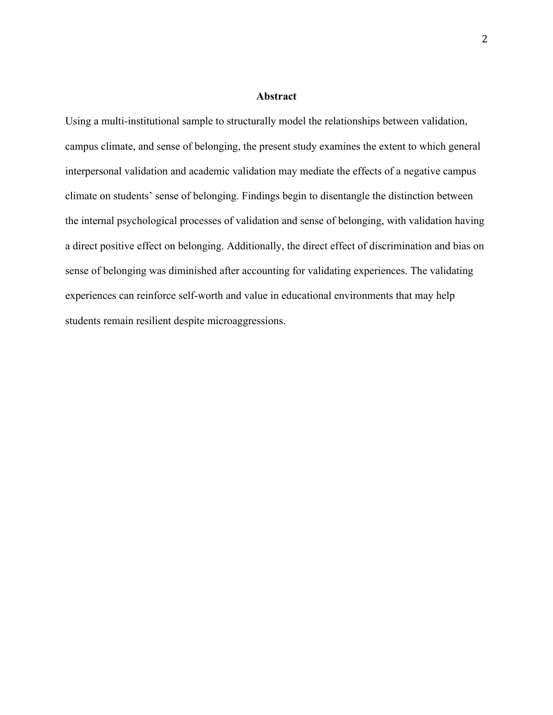## **Abstract**

Using a multi-institutional sample to structurally model the relationships between validation, campus climate, and sense of belonging, the present study examines the extent to which general interpersonal validation and academic validation may mediate the effects of a negative campus climate on students' sense of belonging. Findings begin to disentangle the distinction between the internal psychological processes of validation and sense of belonging, with validation having a direct positive effect on belonging. Additionally, the direct effect of discrimination and bias on sense of belonging was diminished after accounting for validating experiences. The validating experiences can reinforce self-worth and value in educational environments that may help students remain resilient despite microaggressions.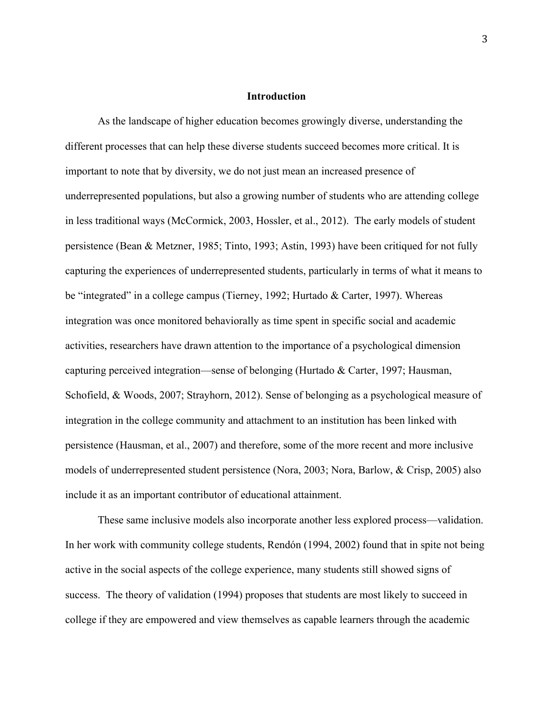## **Introduction**

As the landscape of higher education becomes growingly diverse, understanding the different processes that can help these diverse students succeed becomes more critical. It is important to note that by diversity, we do not just mean an increased presence of underrepresented populations, but also a growing number of students who are attending college in less traditional ways (McCormick, 2003, Hossler, et al., 2012). The early models of student persistence (Bean & Metzner, 1985; Tinto, 1993; Astin, 1993) have been critiqued for not fully capturing the experiences of underrepresented students, particularly in terms of what it means to be "integrated" in a college campus (Tierney, 1992; Hurtado & Carter, 1997). Whereas integration was once monitored behaviorally as time spent in specific social and academic activities, researchers have drawn attention to the importance of a psychological dimension capturing perceived integration—sense of belonging (Hurtado & Carter, 1997; Hausman, Schofield, & Woods, 2007; Strayhorn, 2012). Sense of belonging as a psychological measure of integration in the college community and attachment to an institution has been linked with persistence (Hausman, et al., 2007) and therefore, some of the more recent and more inclusive models of underrepresented student persistence (Nora, 2003; Nora, Barlow, & Crisp, 2005) also include it as an important contributor of educational attainment.

These same inclusive models also incorporate another less explored process—validation. In her work with community college students, Rendón (1994, 2002) found that in spite not being active in the social aspects of the college experience, many students still showed signs of success. The theory of validation (1994) proposes that students are most likely to succeed in college if they are empowered and view themselves as capable learners through the academic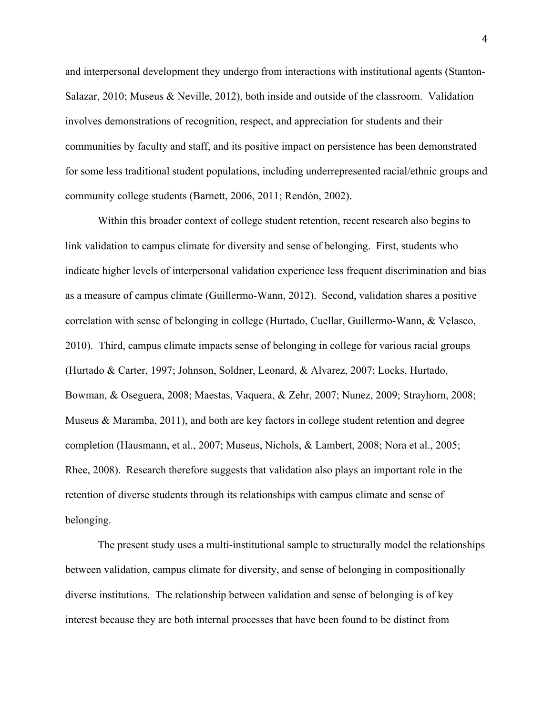and interpersonal development they undergo from interactions with institutional agents (Stanton-Salazar, 2010; Museus & Neville, 2012), both inside and outside of the classroom. Validation involves demonstrations of recognition, respect, and appreciation for students and their communities by faculty and staff, and its positive impact on persistence has been demonstrated for some less traditional student populations, including underrepresented racial/ethnic groups and community college students (Barnett, 2006, 2011; Rendón, 2002).

Within this broader context of college student retention, recent research also begins to link validation to campus climate for diversity and sense of belonging. First, students who indicate higher levels of interpersonal validation experience less frequent discrimination and bias as a measure of campus climate (Guillermo-Wann, 2012). Second, validation shares a positive correlation with sense of belonging in college (Hurtado, Cuellar, Guillermo-Wann, & Velasco, 2010). Third, campus climate impacts sense of belonging in college for various racial groups (Hurtado & Carter, 1997; Johnson, Soldner, Leonard, & Alvarez, 2007; Locks, Hurtado, Bowman, & Oseguera, 2008; Maestas, Vaquera, & Zehr, 2007; Nunez, 2009; Strayhorn, 2008; Museus & Maramba, 2011), and both are key factors in college student retention and degree completion (Hausmann, et al., 2007; Museus, Nichols, & Lambert, 2008; Nora et al., 2005; Rhee, 2008). Research therefore suggests that validation also plays an important role in the retention of diverse students through its relationships with campus climate and sense of belonging.

The present study uses a multi-institutional sample to structurally model the relationships between validation, campus climate for diversity, and sense of belonging in compositionally diverse institutions. The relationship between validation and sense of belonging is of key interest because they are both internal processes that have been found to be distinct from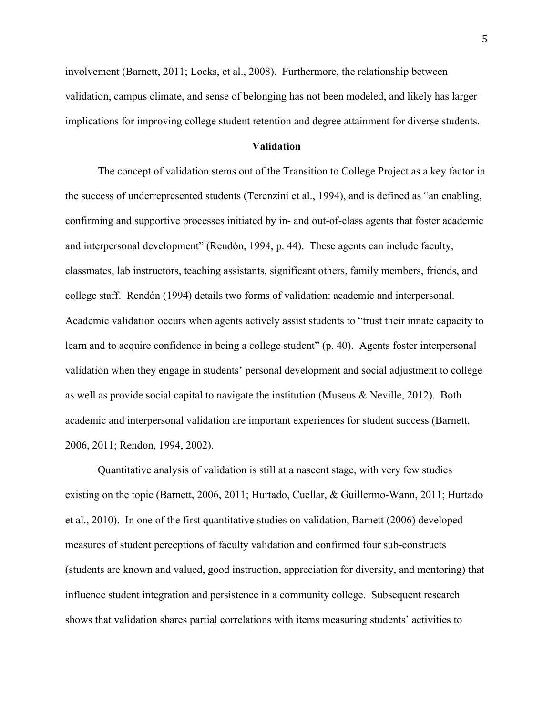involvement (Barnett, 2011; Locks, et al., 2008). Furthermore, the relationship between validation, campus climate, and sense of belonging has not been modeled, and likely has larger implications for improving college student retention and degree attainment for diverse students.

### **Validation**

The concept of validation stems out of the Transition to College Project as a key factor in the success of underrepresented students (Terenzini et al., 1994), and is defined as "an enabling, confirming and supportive processes initiated by in- and out-of-class agents that foster academic and interpersonal development" (Rendón, 1994, p. 44). These agents can include faculty, classmates, lab instructors, teaching assistants, significant others, family members, friends, and college staff. Rendón (1994) details two forms of validation: academic and interpersonal. Academic validation occurs when agents actively assist students to "trust their innate capacity to learn and to acquire confidence in being a college student" (p. 40). Agents foster interpersonal validation when they engage in students' personal development and social adjustment to college as well as provide social capital to navigate the institution (Museus & Neville, 2012). Both academic and interpersonal validation are important experiences for student success (Barnett, 2006, 2011; Rendon, 1994, 2002).

Quantitative analysis of validation is still at a nascent stage, with very few studies existing on the topic (Barnett, 2006, 2011; Hurtado, Cuellar, & Guillermo-Wann, 2011; Hurtado et al., 2010). In one of the first quantitative studies on validation, Barnett (2006) developed measures of student perceptions of faculty validation and confirmed four sub-constructs (students are known and valued, good instruction, appreciation for diversity, and mentoring) that influence student integration and persistence in a community college. Subsequent research shows that validation shares partial correlations with items measuring students' activities to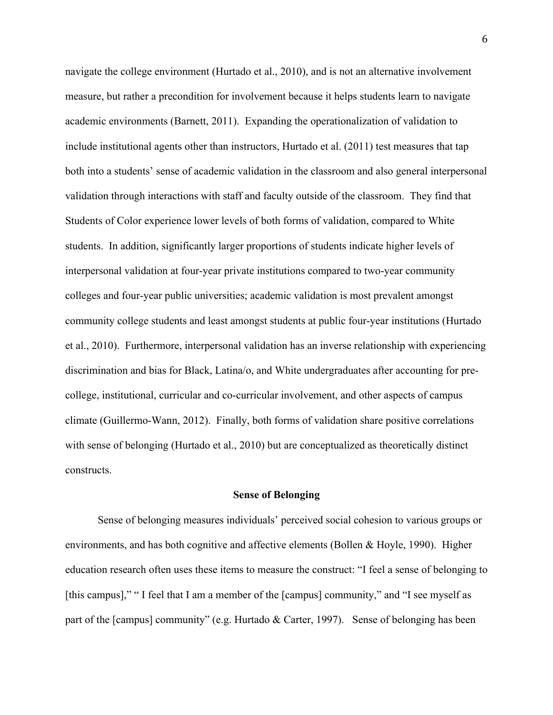navigate the college environment (Hurtado et al., 2010), and is not an alternative involvement measure, but rather a precondition for involvement because it helps students learn to navigate academic environments (Barnett, 2011). Expanding the operationalization of validation to include institutional agents other than instructors, Hurtado et al. (2011) test measures that tap both into a students' sense of academic validation in the classroom and also general interpersonal validation through interactions with staff and faculty outside of the classroom. They find that Students of Color experience lower levels of both forms of validation, compared to White students. In addition, significantly larger proportions of students indicate higher levels of interpersonal validation at four-year private institutions compared to two-year community colleges and four-year public universities; academic validation is most prevalent amongst community college students and least amongst students at public four-year institutions (Hurtado et al., 2010). Furthermore, interpersonal validation has an inverse relationship with experiencing discrimination and bias for Black, Latina/o, and White undergraduates after accounting for precollege, institutional, curricular and co-curricular involvement, and other aspects of campus climate (Guillermo-Wann, 2012). Finally, both forms of validation share positive correlations with sense of belonging (Hurtado et al., 2010) but are conceptualized as theoretically distinct constructs.

#### **Sense of Belonging**

Sense of belonging measures individuals' perceived social cohesion to various groups or environments, and has both cognitive and affective elements (Bollen & Hoyle, 1990). Higher education research often uses these items to measure the construct: "I feel a sense of belonging to [this campus]," " I feel that I am a member of the [campus] community," and "I see myself as part of the [campus] community" (e.g. Hurtado & Carter, 1997). Sense of belonging has been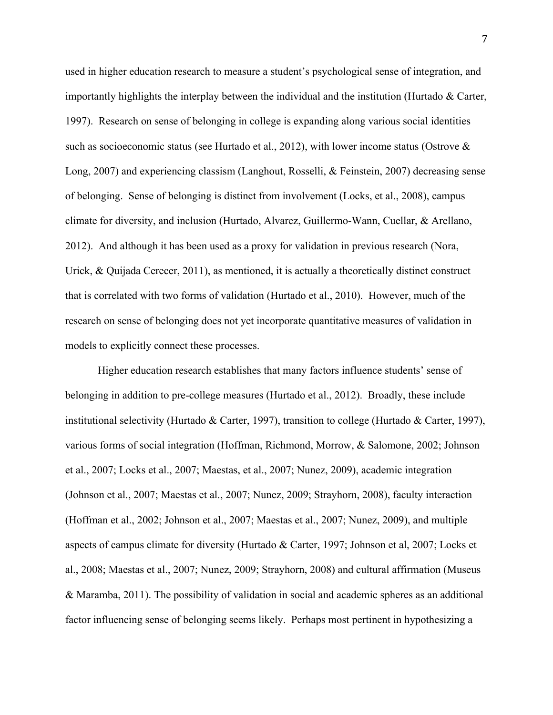used in higher education research to measure a student's psychological sense of integration, and importantly highlights the interplay between the individual and the institution (Hurtado & Carter, 1997). Research on sense of belonging in college is expanding along various social identities such as socioeconomic status (see Hurtado et al., 2012), with lower income status (Ostrove & Long, 2007) and experiencing classism (Langhout, Rosselli, & Feinstein, 2007) decreasing sense of belonging. Sense of belonging is distinct from involvement (Locks, et al., 2008), campus climate for diversity, and inclusion (Hurtado, Alvarez, Guillermo-Wann, Cuellar, & Arellano, 2012). And although it has been used as a proxy for validation in previous research (Nora, Urick, & Quijada Cerecer, 2011), as mentioned, it is actually a theoretically distinct construct that is correlated with two forms of validation (Hurtado et al., 2010). However, much of the research on sense of belonging does not yet incorporate quantitative measures of validation in models to explicitly connect these processes.

Higher education research establishes that many factors influence students' sense of belonging in addition to pre-college measures (Hurtado et al., 2012). Broadly, these include institutional selectivity (Hurtado & Carter, 1997), transition to college (Hurtado & Carter, 1997), various forms of social integration (Hoffman, Richmond, Morrow, & Salomone, 2002; Johnson et al., 2007; Locks et al., 2007; Maestas, et al., 2007; Nunez, 2009), academic integration (Johnson et al., 2007; Maestas et al., 2007; Nunez, 2009; Strayhorn, 2008), faculty interaction (Hoffman et al., 2002; Johnson et al., 2007; Maestas et al., 2007; Nunez, 2009), and multiple aspects of campus climate for diversity (Hurtado & Carter, 1997; Johnson et al, 2007; Locks et al., 2008; Maestas et al., 2007; Nunez, 2009; Strayhorn, 2008) and cultural affirmation (Museus & Maramba, 2011). The possibility of validation in social and academic spheres as an additional factor influencing sense of belonging seems likely. Perhaps most pertinent in hypothesizing a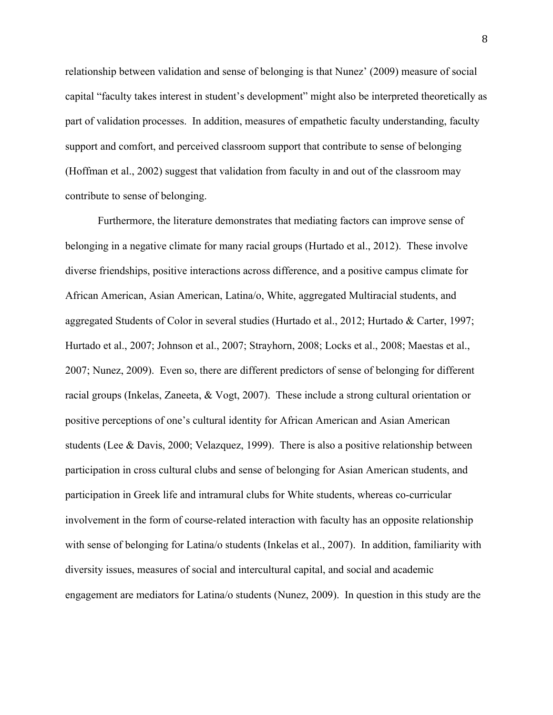relationship between validation and sense of belonging is that Nunez' (2009) measure of social capital "faculty takes interest in student's development" might also be interpreted theoretically as part of validation processes. In addition, measures of empathetic faculty understanding, faculty support and comfort, and perceived classroom support that contribute to sense of belonging (Hoffman et al., 2002) suggest that validation from faculty in and out of the classroom may contribute to sense of belonging.

Furthermore, the literature demonstrates that mediating factors can improve sense of belonging in a negative climate for many racial groups (Hurtado et al., 2012). These involve diverse friendships, positive interactions across difference, and a positive campus climate for African American, Asian American, Latina/o, White, aggregated Multiracial students, and aggregated Students of Color in several studies (Hurtado et al., 2012; Hurtado & Carter, 1997; Hurtado et al., 2007; Johnson et al., 2007; Strayhorn, 2008; Locks et al., 2008; Maestas et al., 2007; Nunez, 2009). Even so, there are different predictors of sense of belonging for different racial groups (Inkelas, Zaneeta, & Vogt, 2007). These include a strong cultural orientation or positive perceptions of one's cultural identity for African American and Asian American students (Lee & Davis, 2000; Velazquez, 1999). There is also a positive relationship between participation in cross cultural clubs and sense of belonging for Asian American students, and participation in Greek life and intramural clubs for White students, whereas co-curricular involvement in the form of course-related interaction with faculty has an opposite relationship with sense of belonging for Latina/o students (Inkelas et al., 2007). In addition, familiarity with diversity issues, measures of social and intercultural capital, and social and academic engagement are mediators for Latina/o students (Nunez, 2009). In question in this study are the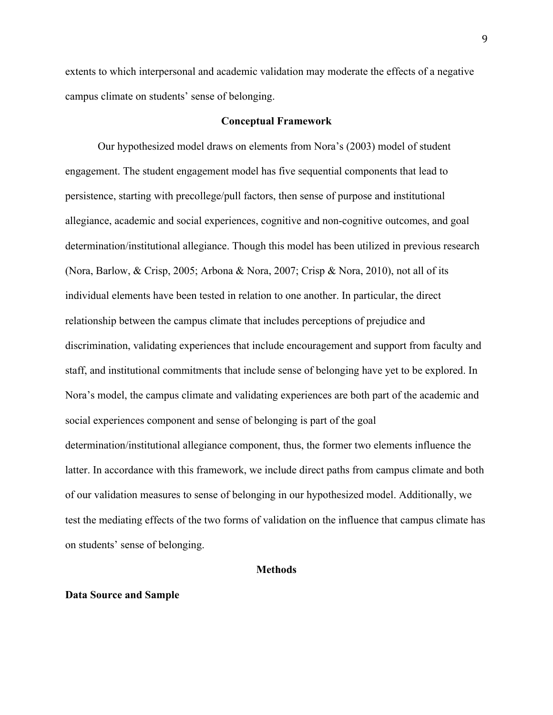extents to which interpersonal and academic validation may moderate the effects of a negative campus climate on students' sense of belonging.

## **Conceptual Framework**

Our hypothesized model draws on elements from Nora's (2003) model of student engagement. The student engagement model has five sequential components that lead to persistence, starting with precollege/pull factors, then sense of purpose and institutional allegiance, academic and social experiences, cognitive and non-cognitive outcomes, and goal determination/institutional allegiance. Though this model has been utilized in previous research (Nora, Barlow, & Crisp, 2005; Arbona & Nora, 2007; Crisp & Nora, 2010), not all of its individual elements have been tested in relation to one another. In particular, the direct relationship between the campus climate that includes perceptions of prejudice and discrimination, validating experiences that include encouragement and support from faculty and staff, and institutional commitments that include sense of belonging have yet to be explored. In Nora's model, the campus climate and validating experiences are both part of the academic and social experiences component and sense of belonging is part of the goal determination/institutional allegiance component, thus, the former two elements influence the latter. In accordance with this framework, we include direct paths from campus climate and both of our validation measures to sense of belonging in our hypothesized model. Additionally, we test the mediating effects of the two forms of validation on the influence that campus climate has on students' sense of belonging.

## **Methods**

## **Data Source and Sample**

9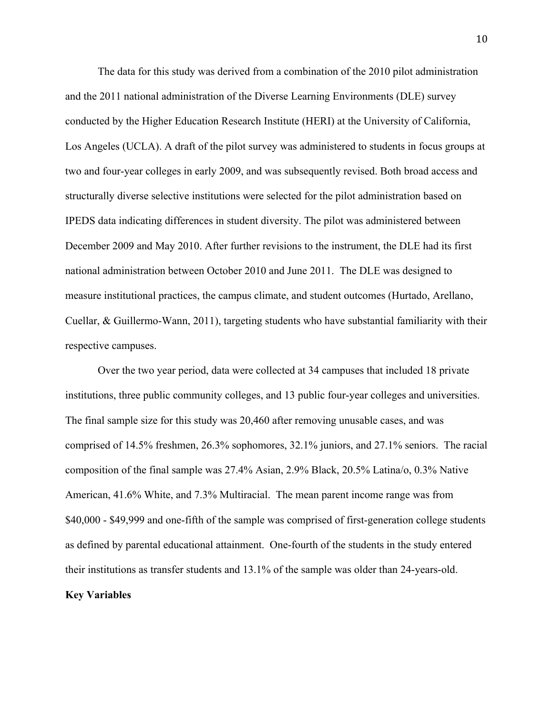The data for this study was derived from a combination of the 2010 pilot administration and the 2011 national administration of the Diverse Learning Environments (DLE) survey conducted by the Higher Education Research Institute (HERI) at the University of California, Los Angeles (UCLA). A draft of the pilot survey was administered to students in focus groups at two and four-year colleges in early 2009, and was subsequently revised. Both broad access and structurally diverse selective institutions were selected for the pilot administration based on IPEDS data indicating differences in student diversity. The pilot was administered between December 2009 and May 2010. After further revisions to the instrument, the DLE had its first national administration between October 2010 and June 2011. The DLE was designed to measure institutional practices, the campus climate, and student outcomes (Hurtado, Arellano, Cuellar, & Guillermo-Wann, 2011), targeting students who have substantial familiarity with their respective campuses.

Over the two year period, data were collected at 34 campuses that included 18 private institutions, three public community colleges, and 13 public four-year colleges and universities. The final sample size for this study was 20,460 after removing unusable cases, and was comprised of 14.5% freshmen, 26.3% sophomores, 32.1% juniors, and 27.1% seniors. The racial composition of the final sample was 27.4% Asian, 2.9% Black, 20.5% Latina/o, 0.3% Native American, 41.6% White, and 7.3% Multiracial. The mean parent income range was from \$40,000 - \$49,999 and one-fifth of the sample was comprised of first-generation college students as defined by parental educational attainment. One-fourth of the students in the study entered their institutions as transfer students and 13.1% of the sample was older than 24-years-old. **Key Variables**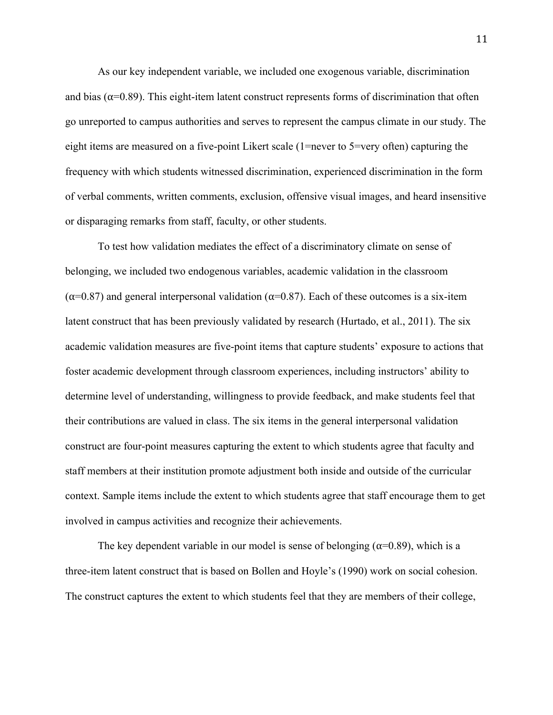As our key independent variable, we included one exogenous variable, discrimination and bias ( $\alpha$ =0.89). This eight-item latent construct represents forms of discrimination that often go unreported to campus authorities and serves to represent the campus climate in our study. The eight items are measured on a five-point Likert scale (1=never to 5=very often) capturing the frequency with which students witnessed discrimination, experienced discrimination in the form of verbal comments, written comments, exclusion, offensive visual images, and heard insensitive or disparaging remarks from staff, faculty, or other students.

To test how validation mediates the effect of a discriminatory climate on sense of belonging, we included two endogenous variables, academic validation in the classroom  $(α=0.87)$  and general interpersonal validation  $(α=0.87)$ . Each of these outcomes is a six-item latent construct that has been previously validated by research (Hurtado, et al., 2011). The six academic validation measures are five-point items that capture students' exposure to actions that foster academic development through classroom experiences, including instructors' ability to determine level of understanding, willingness to provide feedback, and make students feel that their contributions are valued in class. The six items in the general interpersonal validation construct are four-point measures capturing the extent to which students agree that faculty and staff members at their institution promote adjustment both inside and outside of the curricular context. Sample items include the extent to which students agree that staff encourage them to get involved in campus activities and recognize their achievements.

The key dependent variable in our model is sense of belonging ( $\alpha$ =0.89), which is a three-item latent construct that is based on Bollen and Hoyle's (1990) work on social cohesion. The construct captures the extent to which students feel that they are members of their college,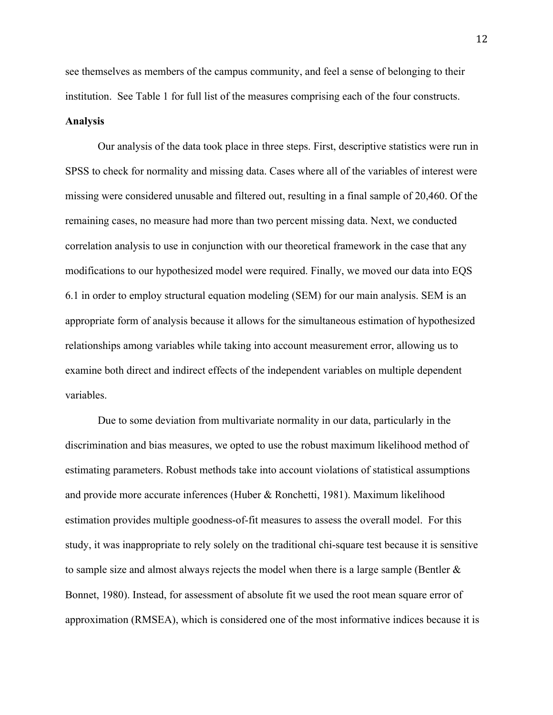see themselves as members of the campus community, and feel a sense of belonging to their institution. See Table 1 for full list of the measures comprising each of the four constructs.

## **Analysis**

Our analysis of the data took place in three steps. First, descriptive statistics were run in SPSS to check for normality and missing data. Cases where all of the variables of interest were missing were considered unusable and filtered out, resulting in a final sample of 20,460. Of the remaining cases, no measure had more than two percent missing data. Next, we conducted correlation analysis to use in conjunction with our theoretical framework in the case that any modifications to our hypothesized model were required. Finally, we moved our data into EQS 6.1 in order to employ structural equation modeling (SEM) for our main analysis. SEM is an appropriate form of analysis because it allows for the simultaneous estimation of hypothesized relationships among variables while taking into account measurement error, allowing us to examine both direct and indirect effects of the independent variables on multiple dependent variables.

Due to some deviation from multivariate normality in our data, particularly in the discrimination and bias measures, we opted to use the robust maximum likelihood method of estimating parameters. Robust methods take into account violations of statistical assumptions and provide more accurate inferences (Huber & Ronchetti, 1981). Maximum likelihood estimation provides multiple goodness-of-fit measures to assess the overall model. For this study, it was inappropriate to rely solely on the traditional chi-square test because it is sensitive to sample size and almost always rejects the model when there is a large sample (Bentler  $\&$ Bonnet, 1980). Instead, for assessment of absolute fit we used the root mean square error of approximation (RMSEA), which is considered one of the most informative indices because it is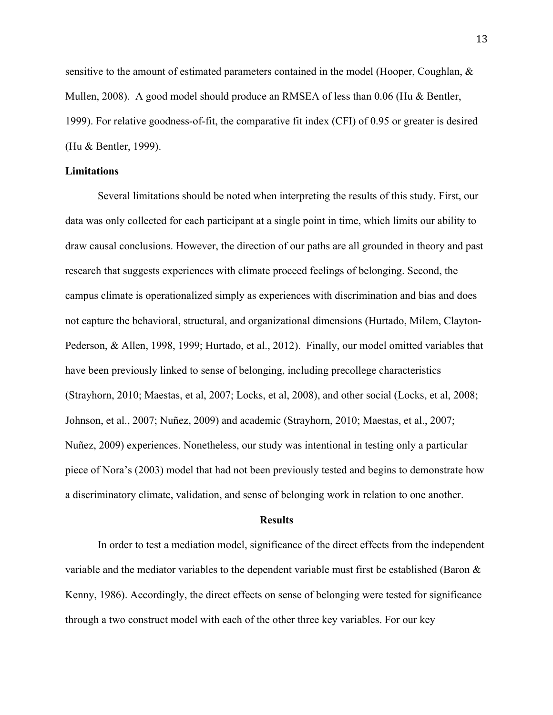sensitive to the amount of estimated parameters contained in the model (Hooper, Coughlan, & Mullen, 2008). A good model should produce an RMSEA of less than 0.06 (Hu & Bentler, 1999). For relative goodness-of-fit, the comparative fit index (CFI) of 0.95 or greater is desired (Hu & Bentler, 1999).

## **Limitations**

Several limitations should be noted when interpreting the results of this study. First, our data was only collected for each participant at a single point in time, which limits our ability to draw causal conclusions. However, the direction of our paths are all grounded in theory and past research that suggests experiences with climate proceed feelings of belonging. Second, the campus climate is operationalized simply as experiences with discrimination and bias and does not capture the behavioral, structural, and organizational dimensions (Hurtado, Milem, Clayton-Pederson, & Allen, 1998, 1999; Hurtado, et al., 2012). Finally, our model omitted variables that have been previously linked to sense of belonging, including precollege characteristics (Strayhorn, 2010; Maestas, et al, 2007; Locks, et al, 2008), and other social (Locks, et al, 2008; Johnson, et al., 2007; Nuñez, 2009) and academic (Strayhorn, 2010; Maestas, et al., 2007; Nuñez, 2009) experiences. Nonetheless, our study was intentional in testing only a particular piece of Nora's (2003) model that had not been previously tested and begins to demonstrate how a discriminatory climate, validation, and sense of belonging work in relation to one another.

#### **Results**

In order to test a mediation model, significance of the direct effects from the independent variable and the mediator variables to the dependent variable must first be established (Baron & Kenny, 1986). Accordingly, the direct effects on sense of belonging were tested for significance through a two construct model with each of the other three key variables. For our key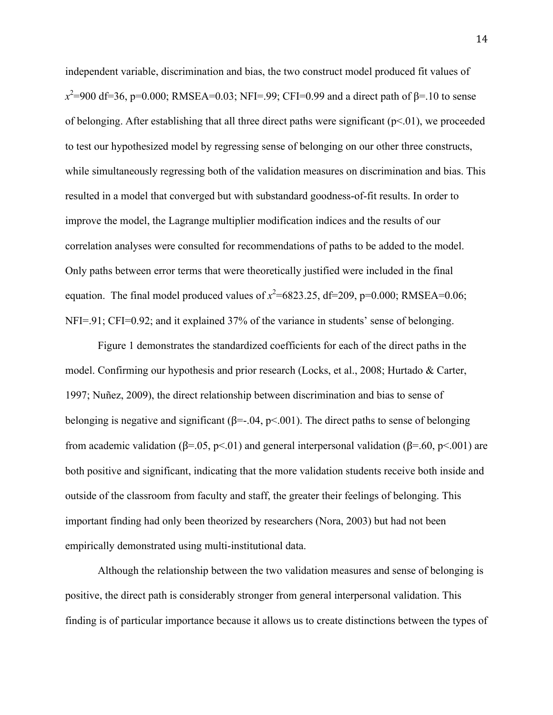independent variable, discrimination and bias, the two construct model produced fit values of  $x^2$ =900 df=36, p=0.000; RMSEA=0.03; NFI=.99; CFI=0.99 and a direct path of β=.10 to sense of belonging. After establishing that all three direct paths were significant  $(p<01)$ , we proceeded to test our hypothesized model by regressing sense of belonging on our other three constructs, while simultaneously regressing both of the validation measures on discrimination and bias. This resulted in a model that converged but with substandard goodness-of-fit results. In order to improve the model, the Lagrange multiplier modification indices and the results of our correlation analyses were consulted for recommendations of paths to be added to the model. Only paths between error terms that were theoretically justified were included in the final equation. The final model produced values of  $x^2$ =6823.25, df=209, p=0.000; RMSEA=0.06; NFI=.91; CFI=0.92; and it explained 37% of the variance in students' sense of belonging.

Figure 1 demonstrates the standardized coefficients for each of the direct paths in the model. Confirming our hypothesis and prior research (Locks, et al., 2008; Hurtado & Carter, 1997; Nuñez, 2009), the direct relationship between discrimination and bias to sense of belonging is negative and significant ( $\beta = 0.04$ ,  $\beta < 0.01$ ). The direct paths to sense of belonging from academic validation (β=.05, p<.01) and general interpersonal validation (β=.60, p<.001) are both positive and significant, indicating that the more validation students receive both inside and outside of the classroom from faculty and staff, the greater their feelings of belonging. This important finding had only been theorized by researchers (Nora, 2003) but had not been empirically demonstrated using multi-institutional data.

Although the relationship between the two validation measures and sense of belonging is positive, the direct path is considerably stronger from general interpersonal validation. This finding is of particular importance because it allows us to create distinctions between the types of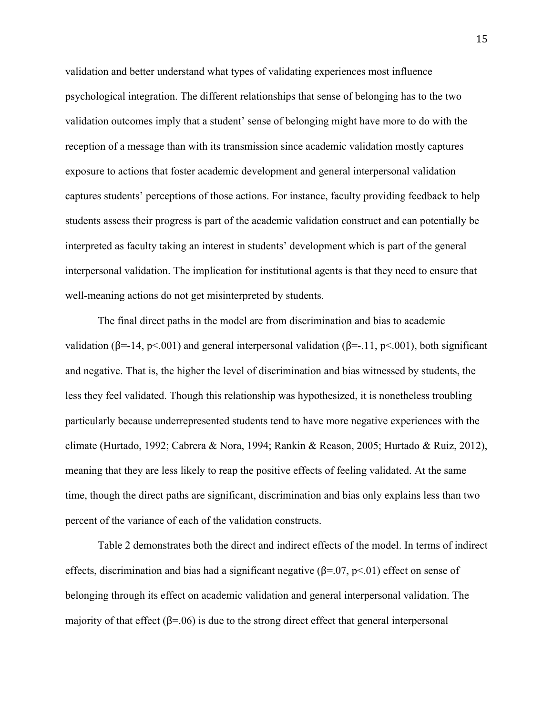validation and better understand what types of validating experiences most influence psychological integration. The different relationships that sense of belonging has to the two validation outcomes imply that a student' sense of belonging might have more to do with the reception of a message than with its transmission since academic validation mostly captures exposure to actions that foster academic development and general interpersonal validation captures students' perceptions of those actions. For instance, faculty providing feedback to help students assess their progress is part of the academic validation construct and can potentially be interpreted as faculty taking an interest in students' development which is part of the general interpersonal validation. The implication for institutional agents is that they need to ensure that well-meaning actions do not get misinterpreted by students.

The final direct paths in the model are from discrimination and bias to academic validation (β=-14, p<.001) and general interpersonal validation (β=-.11, p<.001), both significant and negative. That is, the higher the level of discrimination and bias witnessed by students, the less they feel validated. Though this relationship was hypothesized, it is nonetheless troubling particularly because underrepresented students tend to have more negative experiences with the climate (Hurtado, 1992; Cabrera & Nora, 1994; Rankin & Reason, 2005; Hurtado & Ruiz, 2012), meaning that they are less likely to reap the positive effects of feeling validated. At the same time, though the direct paths are significant, discrimination and bias only explains less than two percent of the variance of each of the validation constructs.

Table 2 demonstrates both the direct and indirect effects of the model. In terms of indirect effects, discrimination and bias had a significant negative ( $\beta$ =.07, p<.01) effect on sense of belonging through its effect on academic validation and general interpersonal validation. The majority of that effect ( $\beta$ =.06) is due to the strong direct effect that general interpersonal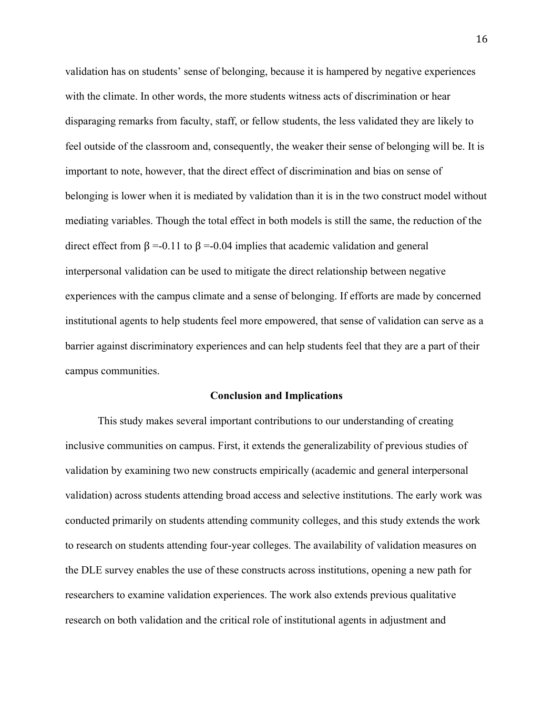validation has on students' sense of belonging, because it is hampered by negative experiences with the climate. In other words, the more students witness acts of discrimination or hear disparaging remarks from faculty, staff, or fellow students, the less validated they are likely to feel outside of the classroom and, consequently, the weaker their sense of belonging will be. It is important to note, however, that the direct effect of discrimination and bias on sense of belonging is lower when it is mediated by validation than it is in the two construct model without mediating variables. Though the total effect in both models is still the same, the reduction of the direct effect from β =-0.11 to β =-0.04 implies that academic validation and general interpersonal validation can be used to mitigate the direct relationship between negative experiences with the campus climate and a sense of belonging. If efforts are made by concerned institutional agents to help students feel more empowered, that sense of validation can serve as a barrier against discriminatory experiences and can help students feel that they are a part of their campus communities.

#### **Conclusion and Implications**

This study makes several important contributions to our understanding of creating inclusive communities on campus. First, it extends the generalizability of previous studies of validation by examining two new constructs empirically (academic and general interpersonal validation) across students attending broad access and selective institutions. The early work was conducted primarily on students attending community colleges, and this study extends the work to research on students attending four-year colleges. The availability of validation measures on the DLE survey enables the use of these constructs across institutions, opening a new path for researchers to examine validation experiences. The work also extends previous qualitative research on both validation and the critical role of institutional agents in adjustment and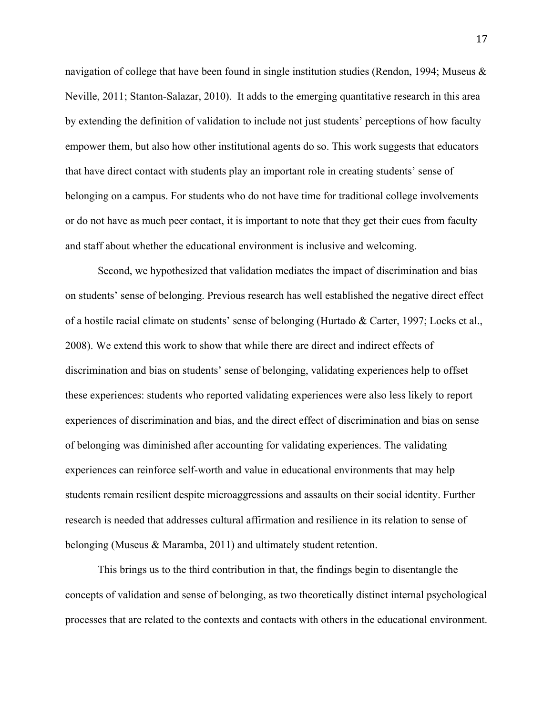navigation of college that have been found in single institution studies (Rendon, 1994; Museus & Neville, 2011; Stanton-Salazar, 2010). It adds to the emerging quantitative research in this area by extending the definition of validation to include not just students' perceptions of how faculty empower them, but also how other institutional agents do so. This work suggests that educators that have direct contact with students play an important role in creating students' sense of belonging on a campus. For students who do not have time for traditional college involvements or do not have as much peer contact, it is important to note that they get their cues from faculty and staff about whether the educational environment is inclusive and welcoming.

Second, we hypothesized that validation mediates the impact of discrimination and bias on students' sense of belonging. Previous research has well established the negative direct effect of a hostile racial climate on students' sense of belonging (Hurtado & Carter, 1997; Locks et al., 2008). We extend this work to show that while there are direct and indirect effects of discrimination and bias on students' sense of belonging, validating experiences help to offset these experiences: students who reported validating experiences were also less likely to report experiences of discrimination and bias, and the direct effect of discrimination and bias on sense of belonging was diminished after accounting for validating experiences. The validating experiences can reinforce self-worth and value in educational environments that may help students remain resilient despite microaggressions and assaults on their social identity. Further research is needed that addresses cultural affirmation and resilience in its relation to sense of belonging (Museus & Maramba, 2011) and ultimately student retention.

This brings us to the third contribution in that, the findings begin to disentangle the concepts of validation and sense of belonging, as two theoretically distinct internal psychological processes that are related to the contexts and contacts with others in the educational environment.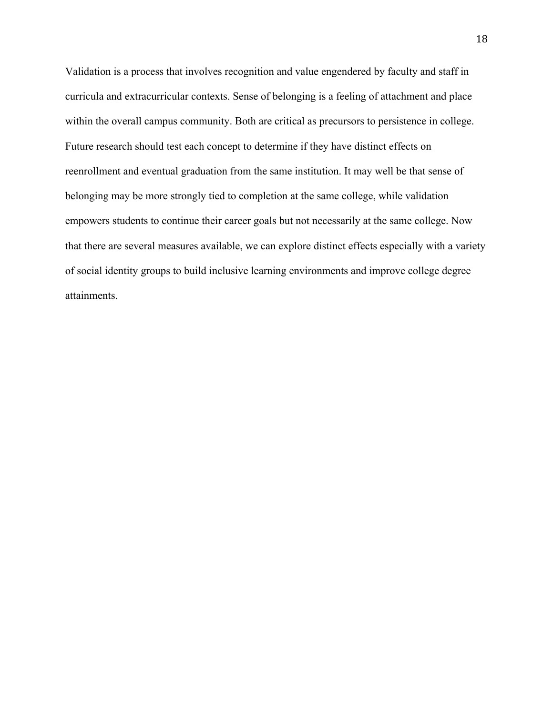Validation is a process that involves recognition and value engendered by faculty and staff in curricula and extracurricular contexts. Sense of belonging is a feeling of attachment and place within the overall campus community. Both are critical as precursors to persistence in college. Future research should test each concept to determine if they have distinct effects on reenrollment and eventual graduation from the same institution. It may well be that sense of belonging may be more strongly tied to completion at the same college, while validation empowers students to continue their career goals but not necessarily at the same college. Now that there are several measures available, we can explore distinct effects especially with a variety of social identity groups to build inclusive learning environments and improve college degree attainments.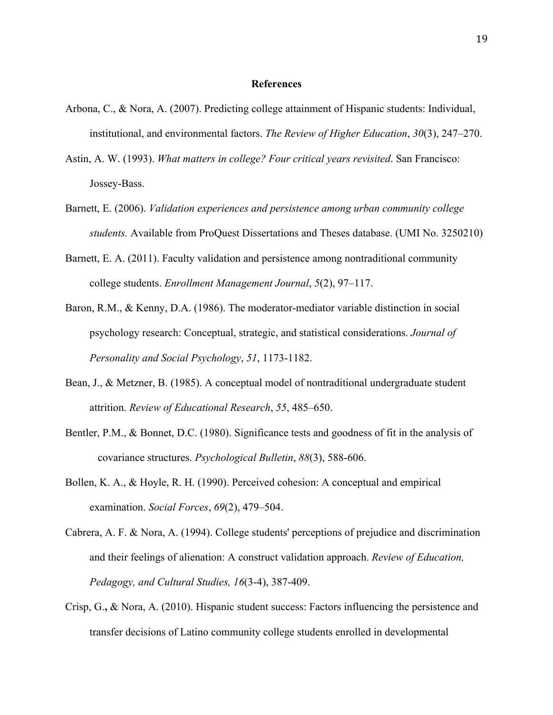### **References**

- Arbona, C., & Nora, A. (2007). Predicting college attainment of Hispanic students: Individual, institutional, and environmental factors. *The Review of Higher Education*, *30*(3), 247–270.
- Astin, A. W. (1993). *What matters in college? Four critical years revisited*. San Francisco: Jossey-Bass.
- Barnett, E. (2006). *Validation experiences and persistence among urban community college students.* Available from ProQuest Dissertations and Theses database. (UMI No. 3250210)
- Barnett, E. A. (2011). Faculty validation and persistence among nontraditional community college students. *Enrollment Management Journal*, *5*(2), 97–117.
- Baron, R.M., & Kenny, D.A. (1986). The moderator-mediator variable distinction in social psychology research: Conceptual, strategic, and statistical considerations. *Journal of Personality and Social Psychology*, *51*, 1173-1182.
- Bean, J., & Metzner, B. (1985). A conceptual model of nontraditional undergraduate student attrition. *Review of Educational Research*, *55*, 485–650.
- Bentler, P.M., & Bonnet, D.C. (1980). Significance tests and goodness of fit in the analysis of covariance structures. *Psychological Bulletin*, *88*(3), 588-606.
- Bollen, K. A., & Hoyle, R. H. (1990). Perceived cohesion: A conceptual and empirical examination. *Social Forces*, *69*(2), 479–504.
- Cabrera, A. F. & Nora, A. (1994). College students' perceptions of prejudice and discrimination and their feelings of alienation: A construct validation approach. *Review of Education, Pedagogy, and Cultural Studies, 16*(3-4), 387-409.
- Crisp, G.**,** & Nora, A. (2010). Hispanic student success: Factors influencing the persistence and transfer decisions of Latino community college students enrolled in developmental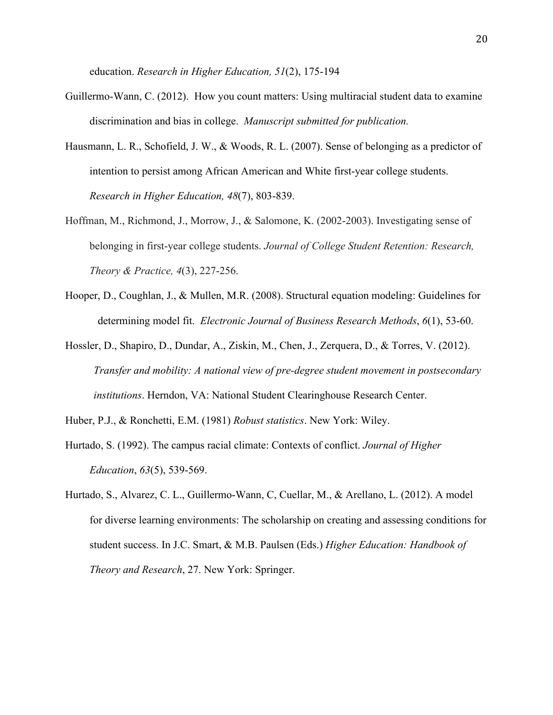education. *Research in Higher Education, 51*(2), 175-194

- Guillermo-Wann, C. (2012). How you count matters: Using multiracial student data to examine discrimination and bias in college. *Manuscript submitted for publication.*
- Hausmann, L. R., Schofield, J. W., & Woods, R. L. (2007). Sense of belonging as a predictor of intention to persist among African American and White first-year college students. *Research in Higher Education, 48*(7), 803-839.
- Hoffman, M., Richmond, J., Morrow, J., & Salomone, K. (2002-2003). Investigating sense of belonging in first-year college students. *Journal of College Student Retention: Research, Theory & Practice, 4*(3), 227-256.
- Hooper, D., Coughlan, J., & Mullen, M.R. (2008). Structural equation modeling: Guidelines for determining model fit. *Electronic Journal of Business Research Methods*, *6*(1), 53-60.
- Hossler, D., Shapiro, D., Dundar, A., Ziskin, M., Chen, J., Zerquera, D., & Torres, V. (2012). *Transfer and mobility: A national view of pre-degree student movement in postsecondary institutions*. Herndon, VA: National Student Clearinghouse Research Center.
- Huber, P.J., & Ronchetti, E.M. (1981) *Robust statistics*. New York: Wiley.
- Hurtado, S. (1992). The campus racial climate: Contexts of conflict. *Journal of Higher Education*, *63*(5), 539-569.
- Hurtado, S., Alvarez, C. L., Guillermo-Wann, C, Cuellar, M., & Arellano, L. (2012). A model for diverse learning environments: The scholarship on creating and assessing conditions for student success. In J.C. Smart, & M.B. Paulsen (Eds.) *Higher Education: Handbook of Theory and Research*, 27. New York: Springer.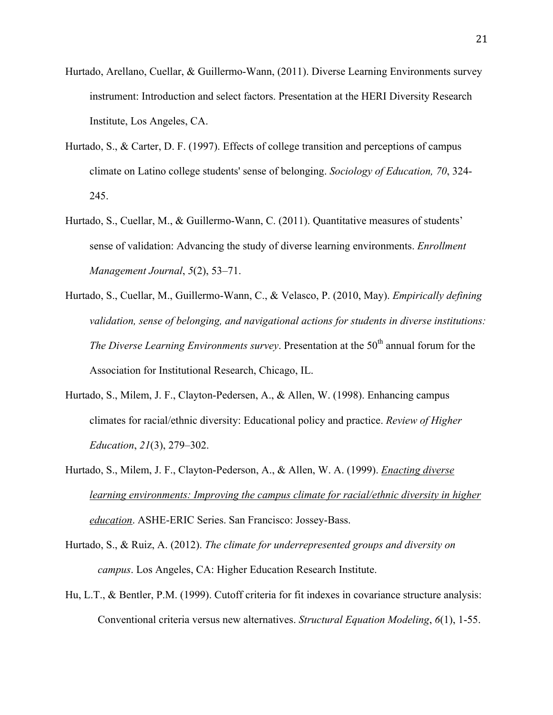- Hurtado, Arellano, Cuellar, & Guillermo-Wann, (2011). Diverse Learning Environments survey instrument: Introduction and select factors. Presentation at the HERI Diversity Research Institute, Los Angeles, CA.
- Hurtado, S., & Carter, D. F. (1997). Effects of college transition and perceptions of campus climate on Latino college students' sense of belonging. *Sociology of Education, 70*, 324- 245.
- Hurtado, S., Cuellar, M., & Guillermo-Wann, C. (2011). Quantitative measures of students' sense of validation: Advancing the study of diverse learning environments. *Enrollment Management Journal*, *5*(2), 53–71.
- Hurtado, S., Cuellar, M., Guillermo-Wann, C., & Velasco, P. (2010, May). *Empirically defining validation, sense of belonging, and navigational actions for students in diverse institutions: The Diverse Learning Environments survey.* Presentation at the 50<sup>th</sup> annual forum for the Association for Institutional Research, Chicago, IL.
- Hurtado, S., Milem, J. F., Clayton-Pedersen, A., & Allen, W. (1998). Enhancing campus climates for racial/ethnic diversity: Educational policy and practice. *Review of Higher Education*, *21*(3), 279–302.
- Hurtado, S., Milem, J. F., Clayton-Pederson, A., & Allen, W. A. (1999). *Enacting diverse learning environments: Improving the campus climate for racial/ethnic diversity in higher education*. ASHE-ERIC Series. San Francisco: Jossey-Bass.
- Hurtado, S., & Ruiz, A. (2012). *The climate for underrepresented groups and diversity on campus*. Los Angeles, CA: Higher Education Research Institute.
- Hu, L.T., & Bentler, P.M. (1999). Cutoff criteria for fit indexes in covariance structure analysis: Conventional criteria versus new alternatives. *Structural Equation Modeling*, *6*(1), 1-55.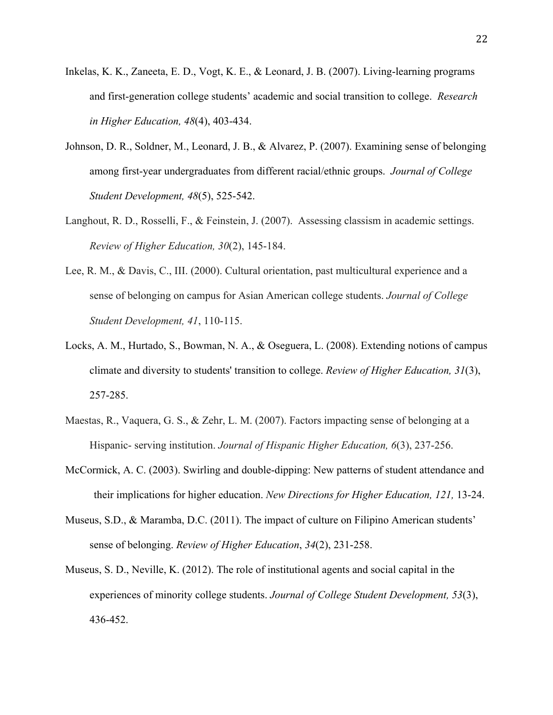- Inkelas, K. K., Zaneeta, E. D., Vogt, K. E., & Leonard, J. B. (2007). Living-learning programs and first-generation college students' academic and social transition to college. *Research in Higher Education, 48*(4), 403-434.
- Johnson, D. R., Soldner, M., Leonard, J. B., & Alvarez, P. (2007). Examining sense of belonging among first-year undergraduates from different racial/ethnic groups. *Journal of College Student Development, 48*(5), 525-542.
- Langhout, R. D., Rosselli, F., & Feinstein, J. (2007). Assessing classism in academic settings. *Review of Higher Education, 30*(2), 145-184.
- Lee, R. M., & Davis, C., III. (2000). Cultural orientation, past multicultural experience and a sense of belonging on campus for Asian American college students. *Journal of College Student Development, 41*, 110-115.
- Locks, A. M., Hurtado, S., Bowman, N. A., & Oseguera, L. (2008). Extending notions of campus climate and diversity to students' transition to college. *Review of Higher Education, 31*(3), 257-285.
- Maestas, R., Vaquera, G. S., & Zehr, L. M. (2007). Factors impacting sense of belonging at a Hispanic- serving institution. *Journal of Hispanic Higher Education, 6*(3), 237-256.
- McCormick, A. C. (2003). Swirling and double-dipping: New patterns of student attendance and their implications for higher education. *New Directions for Higher Education, 121,* 13-24.
- Museus, S.D., & Maramba, D.C. (2011). The impact of culture on Filipino American students' sense of belonging. *Review of Higher Education*, *34*(2), 231-258.
- Museus, S. D., Neville, K. (2012). The role of institutional agents and social capital in the experiences of minority college students. *Journal of College Student Development, 53*(3), 436-452.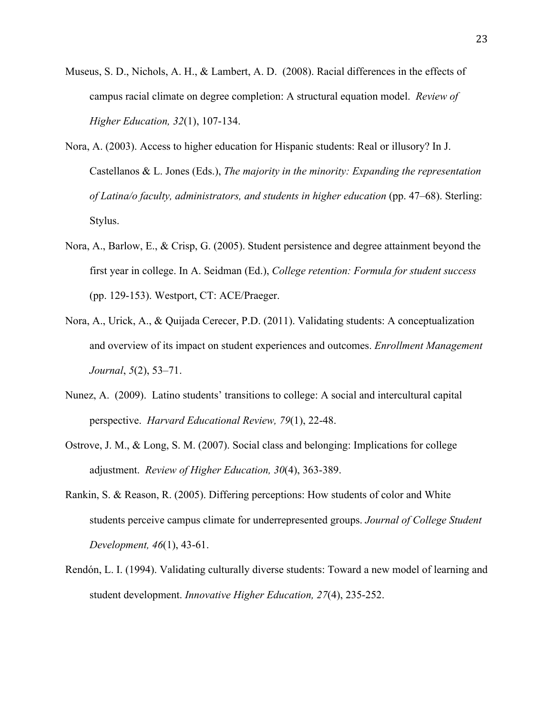- Museus, S. D., Nichols, A. H., & Lambert, A. D. (2008). Racial differences in the effects of campus racial climate on degree completion: A structural equation model. *Review of Higher Education, 32*(1), 107-134.
- Nora, A. (2003). Access to higher education for Hispanic students: Real or illusory? In J. Castellanos & L. Jones (Eds.), *The majority in the minority: Expanding the representation of Latina/o faculty, administrators, and students in higher education* (pp. 47–68). Sterling: Stylus.
- Nora, A., Barlow, E., & Crisp, G. (2005). Student persistence and degree attainment beyond the first year in college. In A. Seidman (Ed.), *College retention: Formula for student success* (pp. 129-153). Westport, CT: ACE/Praeger.
- Nora, A., Urick, A., & Quijada Cerecer, P.D. (2011). Validating students: A conceptualization and overview of its impact on student experiences and outcomes. *Enrollment Management Journal*, *5*(2), 53–71.
- Nunez, A. (2009). Latino students' transitions to college: A social and intercultural capital perspective. *Harvard Educational Review, 79*(1), 22-48.
- Ostrove, J. M., & Long, S. M. (2007). Social class and belonging: Implications for college adjustment. *Review of Higher Education, 30*(4), 363-389.
- Rankin, S. & Reason, R. (2005). Differing perceptions: How students of color and White students perceive campus climate for underrepresented groups. *Journal of College Student Development, 46*(1), 43-61.
- Rendón, L. I. (1994). Validating culturally diverse students: Toward a new model of learning and student development. *Innovative Higher Education, 27*(4), 235-252.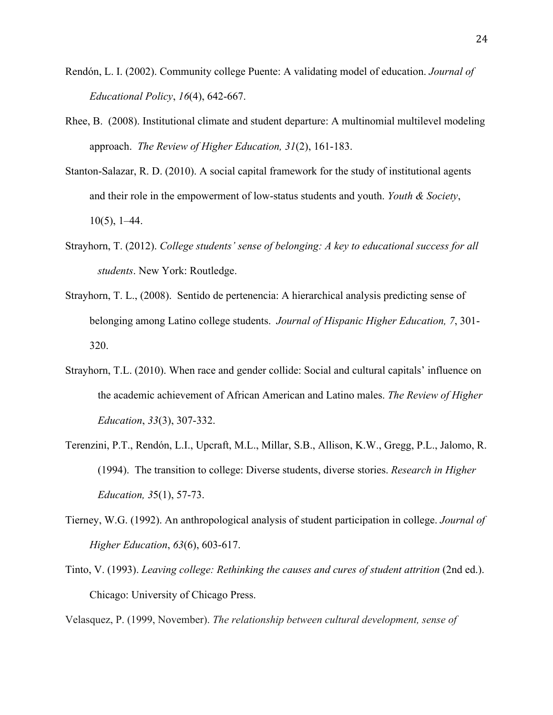- Rendón, L. I. (2002). Community college Puente: A validating model of education. *Journal of Educational Policy*, *16*(4), 642-667.
- Rhee, B. (2008). Institutional climate and student departure: A multinomial multilevel modeling approach. *The Review of Higher Education, 31*(2), 161-183.
- Stanton-Salazar, R. D. (2010). A social capital framework for the study of institutional agents and their role in the empowerment of low-status students and youth. *Youth & Society*,  $10(5)$ , 1–44.
- Strayhorn, T. (2012). *College students' sense of belonging: A key to educational success for all students*. New York: Routledge.
- Strayhorn, T. L., (2008). Sentido de pertenencia: A hierarchical analysis predicting sense of belonging among Latino college students. *Journal of Hispanic Higher Education, 7*, 301- 320.
- Strayhorn, T.L. (2010). When race and gender collide: Social and cultural capitals' influence on the academic achievement of African American and Latino males. *The Review of Higher Education*, *33*(3), 307-332.
- Terenzini, P.T., Rendón, L.I., Upcraft, M.L., Millar, S.B., Allison, K.W., Gregg, P.L., Jalomo, R. (1994). The transition to college: Diverse students, diverse stories. *Research in Higher Education, 3*5(1), 57-73.
- Tierney, W.G. (1992). An anthropological analysis of student participation in college. *Journal of Higher Education*, *63*(6), 603-617.
- Tinto, V. (1993). *Leaving college: Rethinking the causes and cures of student attrition* (2nd ed.). Chicago: University of Chicago Press.

Velasquez, P. (1999, November). *The relationship between cultural development, sense of*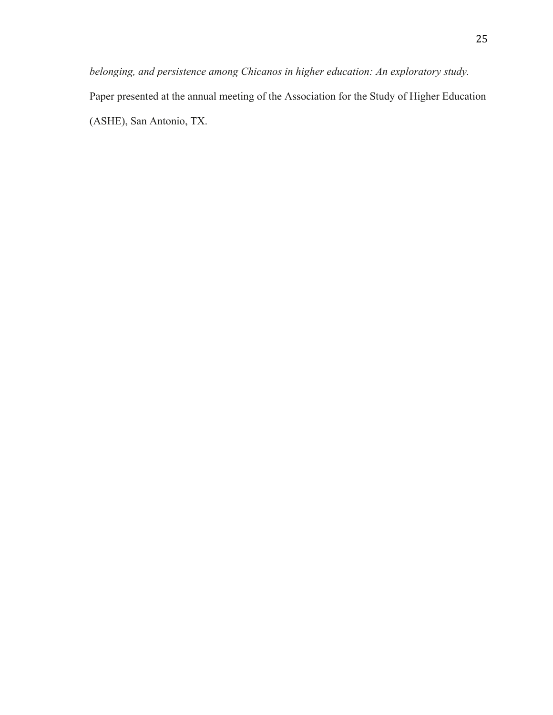*belonging, and persistence among Chicanos in higher education: An exploratory study.*  Paper presented at the annual meeting of the Association for the Study of Higher Education (ASHE), San Antonio, TX.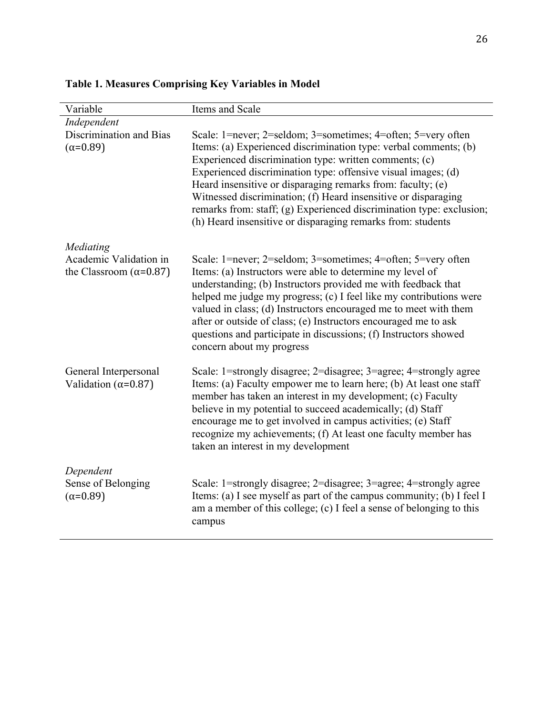| Variable                                                  | Items and Scale                                                                                                                                                                                                                                                                                                                                                                                                                                                                                                                     |
|-----------------------------------------------------------|-------------------------------------------------------------------------------------------------------------------------------------------------------------------------------------------------------------------------------------------------------------------------------------------------------------------------------------------------------------------------------------------------------------------------------------------------------------------------------------------------------------------------------------|
| Independent                                               |                                                                                                                                                                                                                                                                                                                                                                                                                                                                                                                                     |
| Discrimination and Bias<br>$(\alpha = 0.89)$              | Scale: 1=never; 2=seldom; 3=sometimes; 4=often; 5=very often<br>Items: (a) Experienced discrimination type: verbal comments; (b)<br>Experienced discrimination type: written comments; (c)<br>Experienced discrimination type: offensive visual images; (d)<br>Heard insensitive or disparaging remarks from: faculty; (e)<br>Witnessed discrimination; (f) Heard insensitive or disparaging<br>remarks from: staff; (g) Experienced discrimination type: exclusion;<br>(h) Heard insensitive or disparaging remarks from: students |
| Mediating                                                 |                                                                                                                                                                                                                                                                                                                                                                                                                                                                                                                                     |
| Academic Validation in<br>the Classroom ( $\alpha$ =0.87) | Scale: 1=never; 2=seldom; 3=sometimes; 4=often; 5=very often<br>Items: (a) Instructors were able to determine my level of<br>understanding; (b) Instructors provided me with feedback that<br>helped me judge my progress; (c) I feel like my contributions were<br>valued in class; (d) Instructors encouraged me to meet with them<br>after or outside of class; (e) Instructors encouraged me to ask<br>questions and participate in discussions; (f) Instructors showed<br>concern about my progress                            |
| General Interpersonal<br>Validation ( $\alpha$ =0.87)     | Scale: 1=strongly disagree; 2=disagree; 3=agree; 4=strongly agree<br>Items: (a) Faculty empower me to learn here; (b) At least one staff<br>member has taken an interest in my development; (c) Faculty<br>believe in my potential to succeed academically; (d) Staff<br>encourage me to get involved in campus activities; (e) Staff<br>recognize my achievements; (f) At least one faculty member has<br>taken an interest in my development                                                                                      |
| Dependent<br>Sense of Belonging<br>$(\alpha = 0.89)$      | Scale: 1=strongly disagree; 2=disagree; 3=agree; 4=strongly agree<br>Items: (a) I see myself as part of the campus community; (b) I feel I<br>am a member of this college; (c) I feel a sense of belonging to this<br>campus                                                                                                                                                                                                                                                                                                        |

# **Table 1. Measures Comprising Key Variables in Model**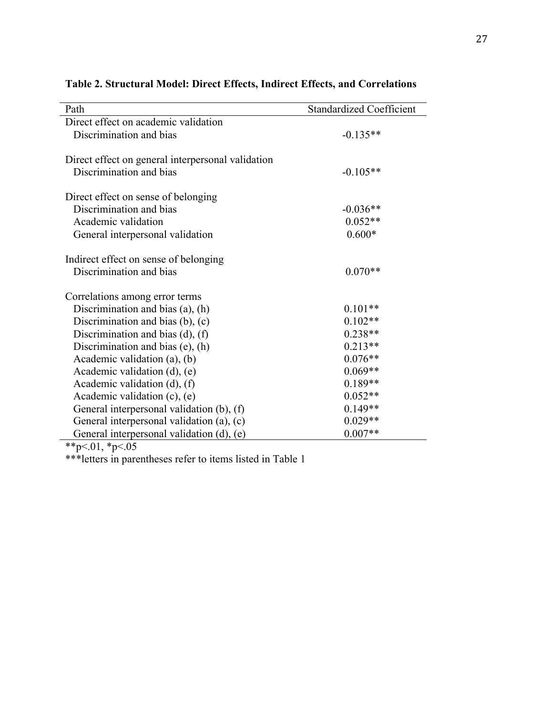| Path                                              | <b>Standardized Coefficient</b> |
|---------------------------------------------------|---------------------------------|
| Direct effect on academic validation              |                                 |
| Discrimination and bias                           | $-0.135**$                      |
|                                                   |                                 |
| Direct effect on general interpersonal validation |                                 |
| Discrimination and bias                           | $-0.105**$                      |
| Direct effect on sense of belonging               |                                 |
| Discrimination and bias                           | $-0.036**$                      |
| Academic validation                               | $0.052**$                       |
| General interpersonal validation                  | $0.600*$                        |
| Indirect effect on sense of belonging             |                                 |
| Discrimination and bias                           | $0.070**$                       |
| Correlations among error terms                    |                                 |
| Discrimination and bias (a), (h)                  | $0.101**$                       |
| Discrimination and bias $(b)$ , $(c)$             | $0.102**$                       |
| Discrimination and bias $(d)$ , $(f)$             | $0.238**$                       |
| Discrimination and bias $(e)$ , $(h)$             | $0.213**$                       |
| Academic validation $(a)$ , $(b)$                 | $0.076**$                       |
| Academic validation $(d)$ , $(e)$                 | $0.069**$                       |
| Academic validation $(d)$ , $(f)$                 | $0.189**$                       |
| Academic validation (c), (e)                      | $0.052**$                       |
| General interpersonal validation (b), (f)         | $0.149**$                       |
| General interpersonal validation (a), (c)         | $0.029**$                       |
| General interpersonal validation (d), (e)         | $0.007**$                       |

# **Table 2. Structural Model: Direct Effects, Indirect Effects, and Correlations**

\*\*p<.01, \*p<.05

\*\*\*letters in parentheses refer to items listed in Table 1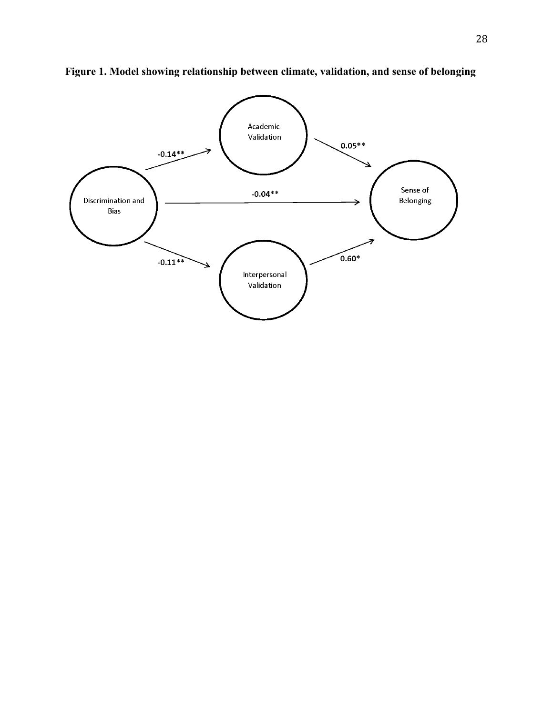

**Figure 1. Model showing relationship between climate, validation, and sense of belonging**